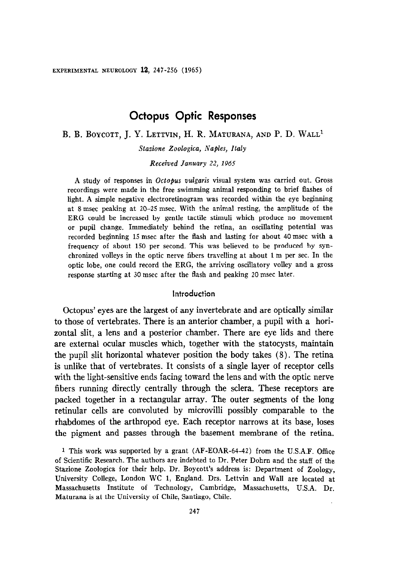# Octopus Optic Responses

B. B. BOYCOTT, J. Y. LETTVIN, H. R. MATURANA, AND P. D. WALL<sup>1</sup>

Stazione Zoologica, Naples, Italy

Received January 22, 1965

A study of responses in Octopus vulgaris visual system was carried out. Gross recordings were made in the free swimming animal responding to brief flashes of light. A simple negative electroretinogram was recorded within the eye beginning at 8 msex peaking at 20-25 msec. With the animal resting, the amplitude of the ERG could be increased by gentle tactile stimuli which produce no movement or pupil change. Immediately behind the retina, an oscillating potential was recorded beginning 15 msec after the flash and lasting for about 40 msec with a frequency of about 150 per second. This was believed to be produced by synchronized volleys in the optic nerve fibers travelling at about 1 m per sec. In the optic lobe, one could record the ERG, the arriving oscillatory volley and a gross response starting at 30 msec after the flash and peaking 20 msec later.

### Introduction

Octopus' eyes are the largest of any invertebrate and are optically similar to those of vertebrates. There is an anterior chamber, a pupil with a hori- $\frac{1}{2}$  is an and a posterior channol, a population are executed as  $\frac{1}{2}$  and  $\frac{1}{2}$  and  $\frac{1}{2}$  and  $\frac{1}{2}$  and  $\frac{1}{2}$  and  $\frac{1}{2}$  and  $\frac{1}{2}$  and  $\frac{1}{2}$  and  $\frac{1}{2}$  and  $\frac{1}{2}$  and  $\frac{1}{2}$  a zontal siit, a leus and a posterior chamber. There are eye hus and there are external ocular muscles which, together with the statocysts, maintain the pupil slit horizontal whatever position the body takes  $(8)$ . The retina is unlike that of vertebrates. It consists of a single layer of receptor cells with the light-sensitive ends facing toward the lens and with the optic nerve fibers running directly centrally through the sclera. These receptors are packed together in a rectangular array. The outer segments of the long retinular cells are convoluted by microvilli possibly comparable to the rhabdomes of the arthropod eye. Each receptor narrows at its base, loses the pigment and passes through the basement membrane of the retina.

<sup>1</sup> This work was supported by a grant  $(AF-EOAR-64-42)$  from the U.S.A.F. Office of Scientific Research. The authors are indebted to Dr. Peter Dohrn and the staff of the Stazione Zoologica for their help. Dr. Boycott's address is: Department of Zoology, University College, London WC 1, England. Drs. Lettvin and Wall are located at Massachusetts Institute of Technology, Cambridge, Massachusetts, U.S.A. Dr. Maturana is at the University of Chile, Santiago, Chile.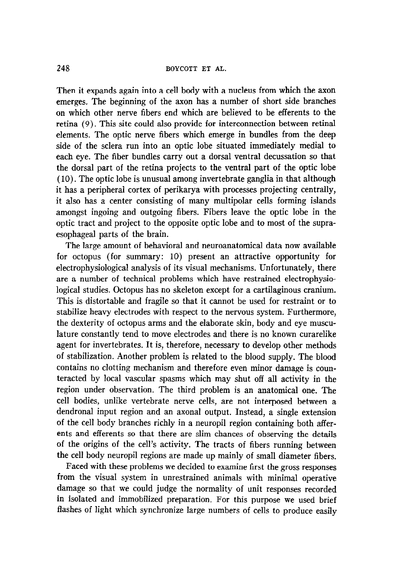Then it expands again into a cell body with a nucleus from which the axon emerges. The beginning of the axon has a number of short side branches on which other nerve fibers end which are believed to be efferents to the retina (9). This site could also provide for interconnection between retinal elements. The optic nerve fibers which emerge in bundles from the deep side of the sclera run into an optic lobe situated immediately medial to each eye. The fiber bundles carry out a dorsal ventral decussation so that the dorsal part of the retina projects to the ventral part of the optic lobe ( 10). The optic lobe is unusual among invertebrate ganglia in that although it has a peripheral cortex of perikarya with processes projecting centrally, it also has a center consisting of many multipolar cells forming islands amongst ingoing and outgoing fibers. Fibers leave the optic lobe in the optic tract and project to the opposite optic lobe and to most of the supraesophageal parts of the brain.

The large amount of behavioral and neuroanatomical data now available for octopus (for summary: 10) present an attractive opportunity for electrophysiological analysis of its visual mechanisms. Unfortunately, there are a number of technical problems which have restrained electrophysiological studies. Octopus has no skeleton except for a cartilaginous cranium. This is distortable and fragile so that it cannot be used for restraint or to stabilize heavy electrodes with respect to the nervous system. Furthermore, the dexterity of octopus arms and the elaborate skin, body and eye musculature constantly tend to move electrodes and there is no known curarelike agent for invertebrates. It is, therefore, necessary to develop other methods of stabilization. Another problem is related to the blood supply. The blood contains no clotting mechanism and therefore even minor damage is counteracted by local vascular spasms which may shut off all activity in the region under observation. The third problem is an anatomical one. The cell bodies, unlike vertebrate nerve cells, are not interposed between a dendronal input region and an axonal output. Instead, a single extension of the cell body branches richly in a neuropil region containing both afferents and efferents so that there are slim chances of observing the details of the origins of the cell's activity. The tracts of fibers running between the cell body neuropil regions are made up mainly of small diameter fibers.

Faced with these problems we decided to examine first the gross responses from the visual system in unrestrained animals with minimal operative damage so that we could judge the normality of unit responses recorded in isolated and immobilized preparation. For this purpose we used brief flashes of light which synchronize large numbers of cells to produce easily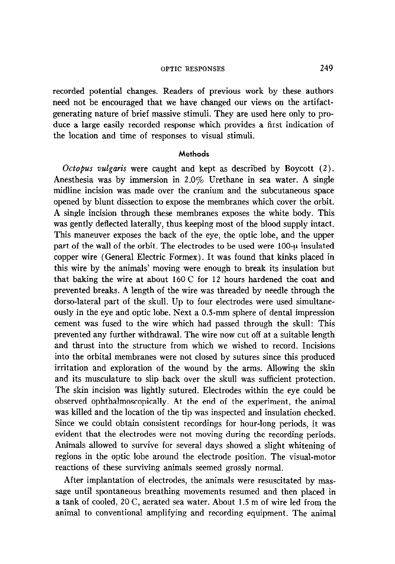### OPTIC RESPONSES 249

recorded potential changes. Readers of previous work by these authors need not be encouraged that we have changed our views on the artifactgenerating nature of brief massive stimuli. They are used here only to produce a large easily recorded response which provides a first indication of the location and time of responses to visual stimuli.

### Methods

Octopus vulgaris were caught and kept as described by Boycott (2). Anesthesia was by immersion in 2.0% Urethane in sea water. A single midline incision was made over the cranium and the subcutaneous space opened by blunt dissection to expose the membranes which cover the orbit. A single incision through these membranes exposes the white body. This was gently deflected laterally, thus keeping most of the blood supply intact. This maneuver exposes the back of the eye, the optic lobe, and the upper part of the wall of the orbit. The electrodes to be used were 100-u insulated copper wire (General Electric Formex). It was found that kinks placed in this wire by the animals' moving were enough to break its insulation but that baking the wire at about 160 C for 12 hours hardened the coat and prevented breaks. A length of the wire was threaded by needle through the dorso-lateral part of the skull. Up to four electrodes were used simultaneously in the eye and optic lobe. Next a 0.5-mm sphere of dental impression cement was fused to the wire which had passed through the skull: This prevented any further withdrawal. The wire now cut off at a suitable length and thrust into the structure from which we wished to record. Incisions into the orbital membranes were not closed by sutures since this produced irritation and exploration of the wound by the arms. Allowing the skin and its musculature to slip back over the skull was sufficient protection. The skin incision was lightly sutured. Electrodes within the eye could be observed ophthalmoscopically. At the end of the experiment, the animal was killed and the location of the tip was inspected and insulation checked. Since we could obtain consistent recordings for hour-long periods, it was evident that the electrodes were not moving during the recording periods. Animals allowed to survive for several days showed a slight whitening of regions in the optic lobe around the electrode position. The visual-motor reactions of these surviving animals seemed grossly normal.

After implantation of electrodes, the animals were resuscitated by massage until spontaneous breathing movements resumed and then placed in a tank of cooled, 20 C, aerated sea water. About 1.5 m of wire led from the animal to conventional amplifying and recording equipment. The animal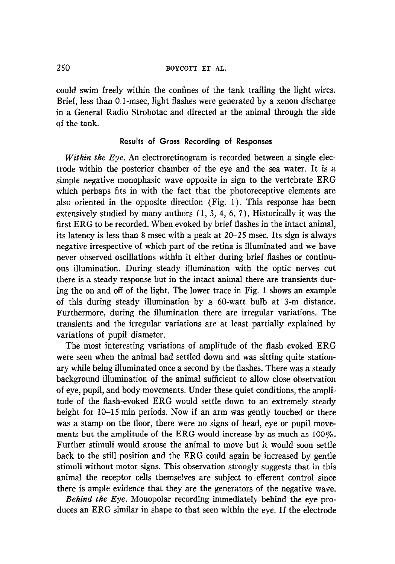could swim freely within the confines of the tank trailing the light wires. Brief, less than O.l-msec, light flashes were generated by a xenon discharge in a General Radio Strobotac and directed at the animal through the side of the tank.

### Results of Gross Recording of Responses

Within the Eye. An electroretinogram is recorded between a single electrode within the posterior chamber of the eye and the sea water. It is a simple negative monophasic wave opposite in sign to the vertebrate ERG which perhaps fits in with the fact that the photoreceptive elements are also oriented in the opposite direction (Fig. 1). This response has been extensively studied by many authors ( 1, 3, 4, 6, 7). Historically it was the first ERG to be recorded. When evoked by brief flashes in the intact animal, its latency is less than 8 msec with a peak at 20-25 msec. Its sign is always negative irrespective of which part of the retina is illuminated and we have never observed oscillations within it either during brief flashes or continuous illumination. During steady illumination with the optic nerves cut there is a steady response but in the intact animal there are transients during the on and off of the light. The lower trace in Fig. 1 shows an example of this during steady illumination by a 60-watt bulb at 3-m distance. Furthermore, during the illumination there are irregular variations. The transients and the irregular variations are at least partially explained by variations of pupil diameter.

The most interesting variations of amplitude of the flash evoked ERG were seen when the animal had settled down and was sitting quite stationary while being illuminated once a second by the flashes. There was a steady background illumination of the animal sufficient to allow close observation of eye, pupil, and body movements. Under these quiet conditions, the amplitude of the flash-evoked ERG would settle down to an extremely steady height for 10–15 min periods. Now if an arm was gently touched or there was a stamp on the floor, there were no signs of head, eye or pupil movements but the amplitude of the ERG would increase by as much as  $100\%$ . Further stimuli would arouse the animal to move but it would soon settle back to the still position and the ERG could again be increased by gentle stimuli without motor signs. This observation strongly suggests that in this animal the receptor cells themselves are subject to efferent control since there is ample evidence that they are the generators of the negative wave.

Behind the Eye. Monopolar recording immediately behind the eye produces an ERG similar in shape to that seen within the eye. If the electrode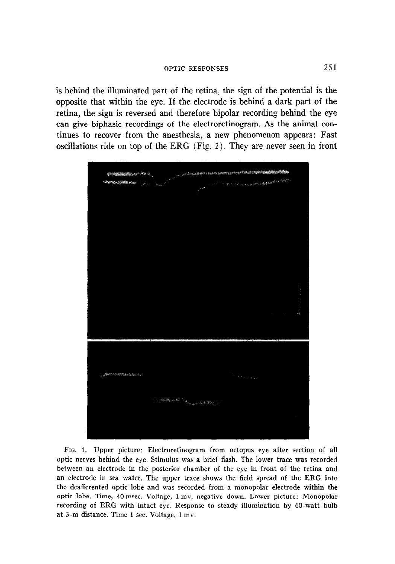is behind the illuminated part of the retina, the sign of the potential is the opposite that within the eye. If the electrode is behind a dark part of the retina, the sign is reversed and therefore bipolar recording behind the eye can give biphasic recordings of the electroretinogram. As the animal continues to recover from the anesthesia, a new phenomenon appears: Fast oscillations ride on top of the ERG (Fig. 2). They are never seen in front



FIG. 1. Upper picture: Electroretinogram from octopus eye after section of all optic nerves behind the eye. Stimulus was a brief flash. The lower trace was recorded between an electrode in the posterior chamber of the eye in front of the retina and an electrode in sea water. The upper trace shows the field spread of the ERG into the deafferented optic lobe and was recorded from a monopolar electrode within the optic lobe. Time, 40 msec. Voltage, 1 mv, negative down. Lower picture: Monopolar recording of ERG with intact eye. Response to steady illumination by 60-watt bulb at 3-m distance. Time 1 sec. Voltage, 1 mv.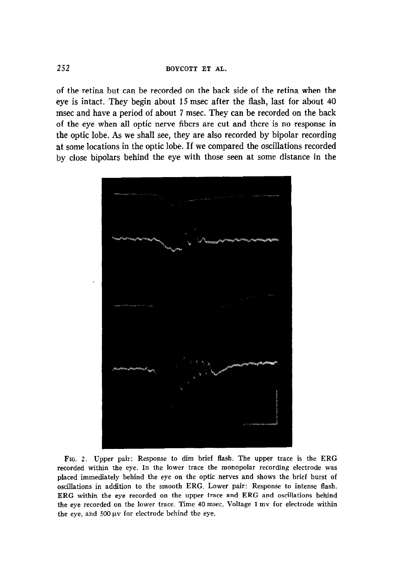of the retina but can be recorded on the back side of the retina when the eye is intact. They begin about 15 msec after the flash, last for about 40 msec and have a period of about 7 msec. They can be recorded on the back of the eye when all optic nerve fibers are cut and there is no response in the optic lobe. As we shall see, they are also recorded by bipolar recording at some locations in the optic lobe. If we compared the oscillations recorded by close bipolars behind the eye with those seen at some distance in the



FIG. 2. Upper pair: Response to dim brief flash. The upper trace is the ERG recorded within the eye. In the lower trace the monopolar recording electrode was placed immediately behind the eye on the optic nerves and shows the brief burst of oscillations in addition to the smooth ERG. Lower pair: Response to intense flash. ERG within the eye recorded on the upper trace and ERG and oscillations behind the eye recorded on the lower trace. Time 40 msec. Voltage 1 mv for electrode within the eye, and  $500 \,\mu\text{v}$  for electrode behind the eye.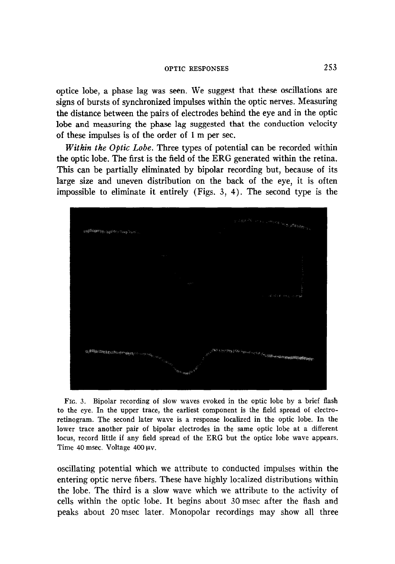## OPTIC RESPONSES 253

optice lobe, a phase lag was seen. We suggest that these oscillations are signs of bursts of synchronized impulses within the optic nerves. Measuring the distance between the pairs of electrodes behind the eye and in the optic lobe and measuring the phase lag suggested that the conduction velocity of these impulses is of the order of 1 m per sec.

Within the Optic Lobe. Three types of potential can be recorded within the optic lobe. The first is the field of the ERG generated within the retina. This can be partially eliminated by bipolar recording but, because of its large size and uneven distribution on the back of the eye, it is often impossible to eliminate it entirely (Figs. 3, 4). The second type is the



FIG. 3. Bipolar recording of slow waves evoked in the optic lobe by a brief flash to the eye. In the upper trace, the earliest component is the field spread of electroretinogram. The second later wave is a response localized in the optic lobe. In the lower trace another pair of bipolar electrodes in the same optic lobe at a different locus, record little if any field spread of the ERG but the optice lobe wave appears. Time 40 msec. Voltage 400  $\mu$ v.

oscillating potential which we attribute to conducted impulses within the entering optic nerve fibers. These have highly localized distributions within the lobe. The third is a slow wave which we attribute to the activity of cells within the optic lobe. It begins about 30 msec after the flash and peaks about 20 msec later. Monopolar recordings may show all three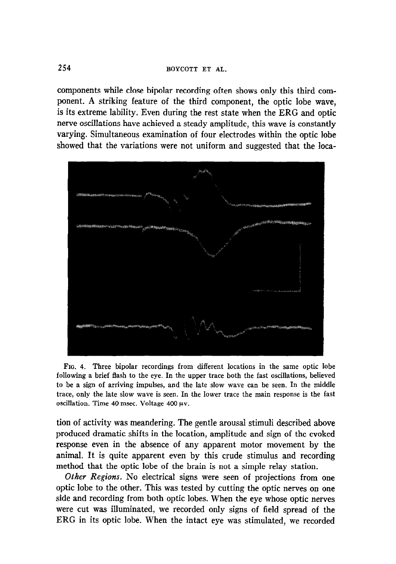components while close bipolar recording often shows only this third component. A striking feature of the third component, the optic lobe wave, is its extreme lability. Even during the rest state when the ERG and optic nerve oscillations have achieved a steady amplitude, this wave is constantly varying. Simultaneous examination of four electrodes within the optic lobe showed that the variations were not uniform and suggested that the loca-



FIG. 4. Three bipolar recordings from different locations in the same optic lobe following a brief flash to the eye. In the upper trace both the fast oscillations, believed to be a sign of arriving impulses, and the late slow wave can be seen. In the middle trace, only the late slow wave is seen. In the lower trace the main response is the fast oscillation. Time 40 msec. Voltage 400 uv.

tion of activity was meandering. The gentle arousal stimuli described above produced dramatic shifts in the location, amplitude and sign of the evoked response even in the absence of any apparent motor movement by the animal. It is quite apparent even by this crude stimulus and recording method that the optic lobe of the brain is not a simple relay station.

Other Regions. No electrical signs were seen of projections from one optic lobe to the other. This was tested by cutting the optic nerves on one side and recording from both optic lobes. When the eye whose optic nerves were cut was illuminated, we recorded only signs of field spread of the ERG in its optic lobe. When the intact eye was stimulated, we recorded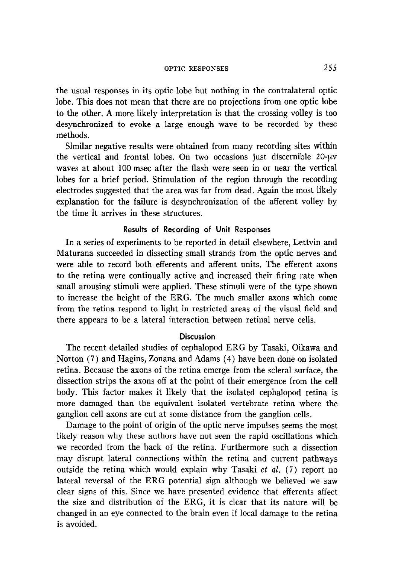### OPTIC RESPONSES 255

the usual responses in its optic lobe but nothing in the contralateral optic lobe. This does not mean that there are no projections from one optic lobe to the other. A more likely interpretation is that the crossing volley is too desynchronized to evoke a large enough wave to be recorded by these methods.

Similar negative results were obtained from many recording sites within the vertical and frontal lobes. On two occasions just discernible  $20\nu$ waves at about 100 msec after the flash were seen in or near the vertical lobes for a brief period. Stimulation of the region through the recording electrodes suggested that the area was far from dead. Again the most likely explanation for the failure is desynchronization of the afferent volley by the time it arrives in these structures,

### Results of Recording of Unit Responses

In a series of experiments to be reported in detail elsewhere, Lettvin and Maturana succeeded in dissecting small strands from the optic nerves and were able to record both efferents and afferent units. The efferent axons to the retina were continually active and increased their firing rate when small arousing stimuli were applied. These stimuli were of the type shown to increase the height of the ERG. The much smaller axons which come from the retina respond to light in restricted areas of the visual field and there appears to be a lateral interaction between retinal nerve cells.

### Discussion

The recent detailed studies of cephalopod ERG by Tasaki, Oikawa and Norton (7) and Hagins, Zonana and Adams (4) have been done on isolated retina. Because the axons of the retina emerge from the scleral surface, the dissection strips the axons off at the point of their emergence from the cell body. This factor makes it likely that the isolated cephalopod retina is more damaged than the equivalent isolated vertebrate retina where the ganglion cell axons are cut at some distance from the ganglion cells.

Damage to the point of origin of the optic nerve impulses seems the most likely reason why these authors have not seen the rapid oscillations which we recorded from the back of the retina. Furthermore such a dissection may disrupt lateral connections within the retina and current pathways outside the retina which would explain why Tasaki et  $al.$  (7) report no lateral reversal of the ERG potential sign although we believed we saw clear signs of this. Since we have presented evidence that efferents affect the size and distribution of the ERG, it is clear that its nature will be changed in an eye connected to the brain even if local damage to the retina is avoided.